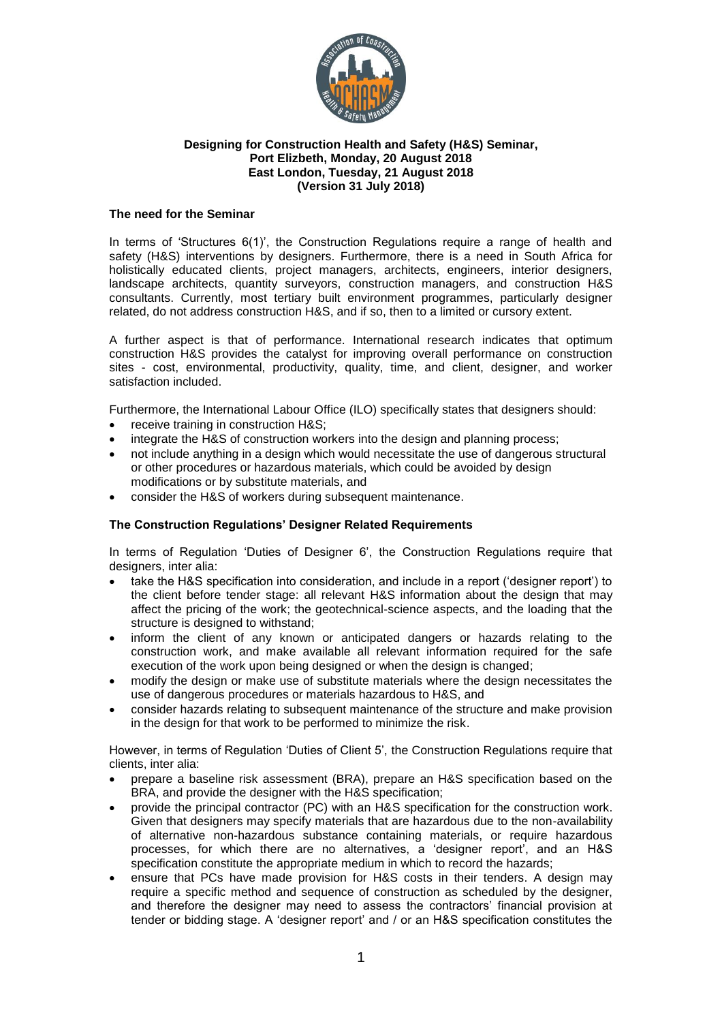

### **Designing for Construction Health and Safety (H&S) Seminar, Port Elizbeth, Monday, 20 August 2018 East London, Tuesday, 21 August 2018 (Version 31 July 2018)**

### **The need for the Seminar**

In terms of 'Structures 6(1)', the Construction Regulations require a range of health and safety (H&S) interventions by designers. Furthermore, there is a need in South Africa for holistically educated clients, project managers, architects, engineers, interior designers, landscape architects, quantity surveyors, construction managers, and construction H&S consultants. Currently, most tertiary built environment programmes, particularly designer related, do not address construction H&S, and if so, then to a limited or cursory extent.

A further aspect is that of performance. International research indicates that optimum construction H&S provides the catalyst for improving overall performance on construction sites - cost, environmental, productivity, quality, time, and client, designer, and worker satisfaction included.

Furthermore, the International Labour Office (ILO) specifically states that designers should:

- receive training in construction H&S;
- integrate the H&S of construction workers into the design and planning process;
- not include anything in a design which would necessitate the use of dangerous structural or other procedures or hazardous materials, which could be avoided by design modifications or by substitute materials, and
- consider the H&S of workers during subsequent maintenance.

## **The Construction Regulations' Designer Related Requirements**

In terms of Regulation 'Duties of Designer 6', the Construction Regulations require that designers, inter alia:

- take the H&S specification into consideration, and include in a report ('designer report') to the client before tender stage: all relevant H&S information about the design that may affect the pricing of the work; the geotechnical-science aspects, and the loading that the structure is designed to withstand;
- inform the client of any known or anticipated dangers or hazards relating to the construction work, and make available all relevant information required for the safe execution of the work upon being designed or when the design is changed;
- modify the design or make use of substitute materials where the design necessitates the use of dangerous procedures or materials hazardous to H&S, and
- consider hazards relating to subsequent maintenance of the structure and make provision in the design for that work to be performed to minimize the risk.

However, in terms of Regulation 'Duties of Client 5', the Construction Regulations require that clients, inter alia:

- prepare a baseline risk assessment (BRA), prepare an H&S specification based on the BRA, and provide the designer with the H&S specification;
- provide the principal contractor (PC) with an H&S specification for the construction work. Given that designers may specify materials that are hazardous due to the non-availability of alternative non-hazardous substance containing materials, or require hazardous processes, for which there are no alternatives, a 'designer report', and an H&S specification constitute the appropriate medium in which to record the hazards;
- ensure that PCs have made provision for H&S costs in their tenders. A design may require a specific method and sequence of construction as scheduled by the designer, and therefore the designer may need to assess the contractors' financial provision at tender or bidding stage. A 'designer report' and / or an H&S specification constitutes the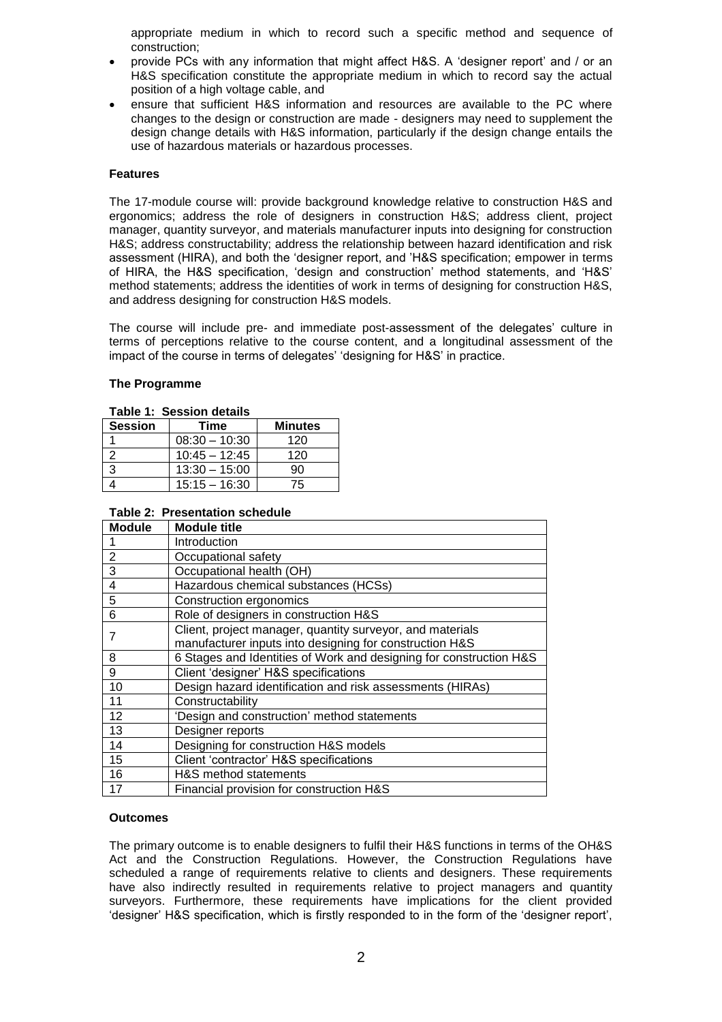appropriate medium in which to record such a specific method and sequence of construction;

- provide PCs with any information that might affect H&S. A 'designer report' and / or an H&S specification constitute the appropriate medium in which to record say the actual position of a high voltage cable, and
- ensure that sufficient H&S information and resources are available to the PC where changes to the design or construction are made - designers may need to supplement the design change details with H&S information, particularly if the design change entails the use of hazardous materials or hazardous processes.

#### **Features**

The 17-module course will: provide background knowledge relative to construction H&S and ergonomics; address the role of designers in construction H&S; address client, project manager, quantity surveyor, and materials manufacturer inputs into designing for construction H&S; address constructability; address the relationship between hazard identification and risk assessment (HIRA), and both the 'designer report, and 'H&S specification; empower in terms of HIRA, the H&S specification, 'design and construction' method statements, and 'H&S' method statements; address the identities of work in terms of designing for construction H&S, and address designing for construction H&S models.

The course will include pre- and immediate post-assessment of the delegates' culture in terms of perceptions relative to the course content, and a longitudinal assessment of the impact of the course in terms of delegates' 'designing for H&S' in practice.

#### **The Programme**

| TADIE T. OESSIUITUELAIIS |                 |                |  |  |
|--------------------------|-----------------|----------------|--|--|
| <b>Session</b>           | Time            | <b>Minutes</b> |  |  |
|                          | $08:30 - 10:30$ | 120            |  |  |
|                          | $10:45 - 12:45$ | 120            |  |  |
|                          | $13:30 - 15:00$ | 90             |  |  |
|                          | $15:15 - 16:30$ | 75             |  |  |

# **Table 1: Session details**

## **Table 2: Presentation schedule**

| <b>Module</b>  | <b>Module title</b>                                                |
|----------------|--------------------------------------------------------------------|
|                | Introduction                                                       |
| $\overline{2}$ | Occupational safety                                                |
| 3              | Occupational health (OH)                                           |
| 4              | Hazardous chemical substances (HCSs)                               |
| 5              | <b>Construction ergonomics</b>                                     |
| 6              | Role of designers in construction H&S                              |
| 7              | Client, project manager, quantity surveyor, and materials          |
|                | manufacturer inputs into designing for construction H&S            |
| 8              | 6 Stages and Identities of Work and designing for construction H&S |
| 9              | Client 'designer' H&S specifications                               |
| 10             | Design hazard identification and risk assessments (HIRAs)          |
| 11             | Constructability                                                   |
| 12             | 'Design and construction' method statements                        |
| 13             | Designer reports                                                   |
| 14             | Designing for construction H&S models                              |
| 15             | Client 'contractor' H&S specifications                             |
| 16             | H&S method statements                                              |
| 17             | Financial provision for construction H&S                           |

#### **Outcomes**

The primary outcome is to enable designers to fulfil their H&S functions in terms of the OH&S Act and the Construction Regulations. However, the Construction Regulations have scheduled a range of requirements relative to clients and designers. These requirements have also indirectly resulted in requirements relative to project managers and quantity surveyors. Furthermore, these requirements have implications for the client provided 'designer' H&S specification, which is firstly responded to in the form of the 'designer report',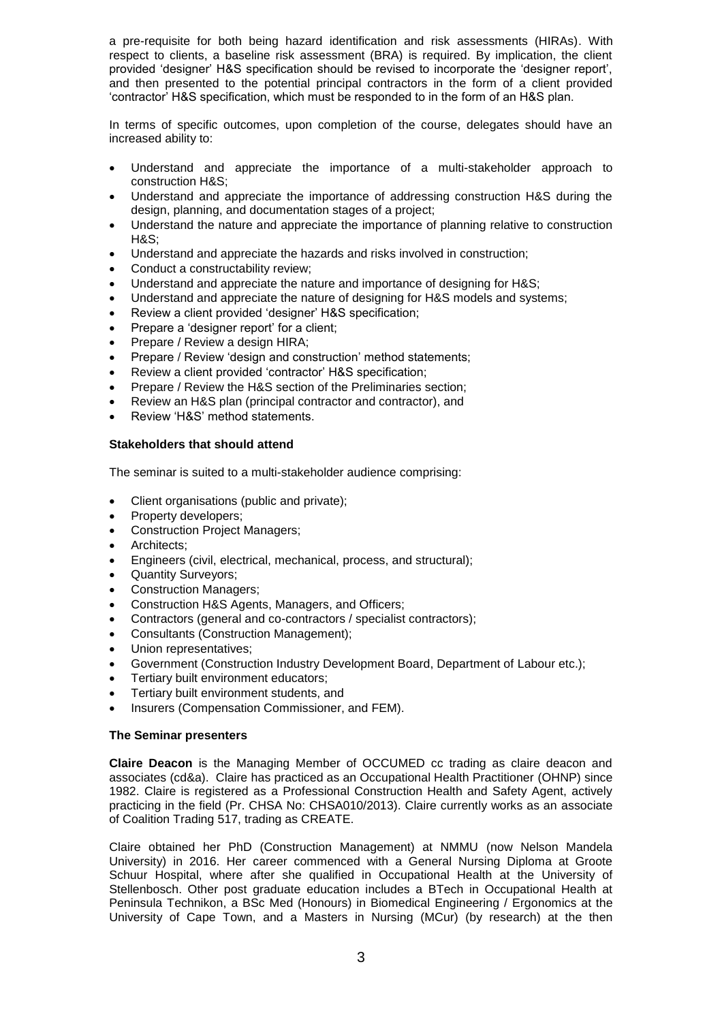a pre-requisite for both being hazard identification and risk assessments (HIRAs). With respect to clients, a baseline risk assessment (BRA) is required. By implication, the client provided 'designer' H&S specification should be revised to incorporate the 'designer report', and then presented to the potential principal contractors in the form of a client provided 'contractor' H&S specification, which must be responded to in the form of an H&S plan.

In terms of specific outcomes, upon completion of the course, delegates should have an increased ability to:

- Understand and appreciate the importance of a multi-stakeholder approach to construction H&S;
- Understand and appreciate the importance of addressing construction H&S during the design, planning, and documentation stages of a project;
- Understand the nature and appreciate the importance of planning relative to construction H&S;
- Understand and appreciate the hazards and risks involved in construction;
- Conduct a constructability review;
- Understand and appreciate the nature and importance of designing for H&S;
- Understand and appreciate the nature of designing for H&S models and systems;
- Review a client provided 'designer' H&S specification;
- Prepare a 'designer report' for a client;
- Prepare / Review a design HIRA;
- Prepare / Review 'design and construction' method statements;
- Review a client provided 'contractor' H&S specification;
- Prepare / Review the H&S section of the Preliminaries section;
- Review an H&S plan (principal contractor and contractor), and
- Review 'H&S' method statements.

#### **Stakeholders that should attend**

The seminar is suited to a multi-stakeholder audience comprising:

- Client organisations (public and private);
- Property developers;
- Construction Project Managers;
- Architects:
- Engineers (civil, electrical, mechanical, process, and structural);
- Quantity Surveyors;
- Construction Managers;
- Construction H&S Agents, Managers, and Officers;
- Contractors (general and co-contractors / specialist contractors);
- Consultants (Construction Management);
- Union representatives;
- Government (Construction Industry Development Board, Department of Labour etc.);
- Tertiary built environment educators;
- Tertiary built environment students, and
- Insurers (Compensation Commissioner, and FEM).

#### **The Seminar presenters**

**Claire Deacon** is the Managing Member of OCCUMED cc trading as claire deacon and associates (cd&a). Claire has practiced as an Occupational Health Practitioner (OHNP) since 1982. Claire is registered as a Professional Construction Health and Safety Agent, actively practicing in the field (Pr. CHSA No: CHSA010/2013). Claire currently works as an associate of Coalition Trading 517, trading as CREATE.

Claire obtained her PhD (Construction Management) at NMMU (now Nelson Mandela University) in 2016. Her career commenced with a General Nursing Diploma at Groote Schuur Hospital, where after she qualified in Occupational Health at the University of Stellenbosch. Other post graduate education includes a BTech in Occupational Health at Peninsula Technikon, a BSc Med (Honours) in Biomedical Engineering / Ergonomics at the University of Cape Town, and a Masters in Nursing (MCur) (by research) at the then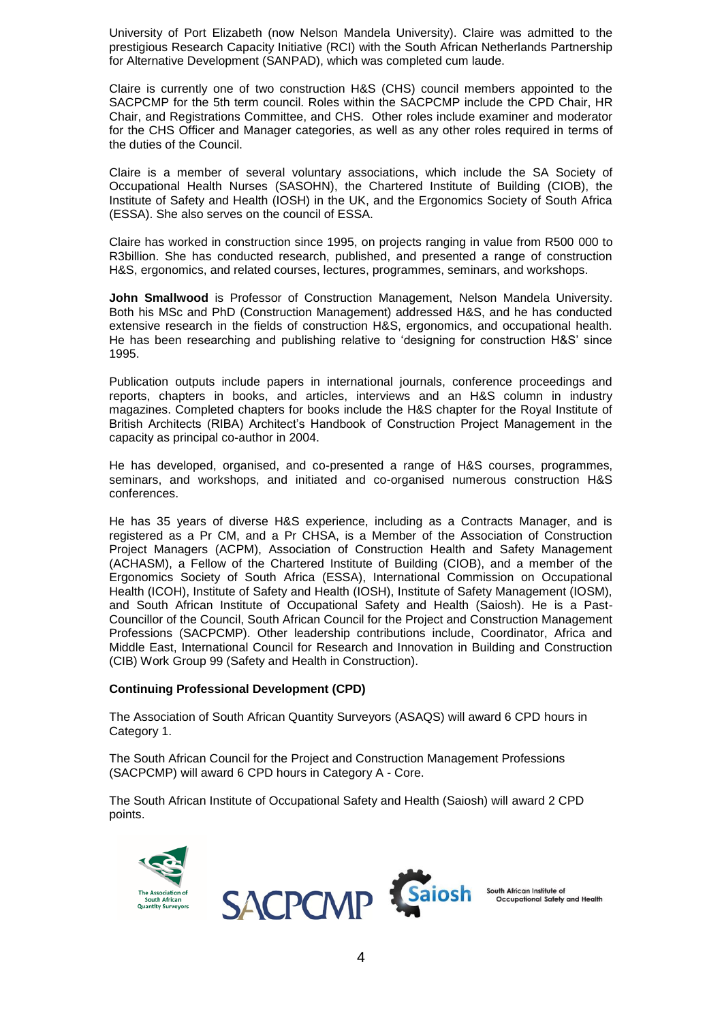University of Port Elizabeth (now Nelson Mandela University). Claire was admitted to the prestigious Research Capacity Initiative (RCI) with the South African Netherlands Partnership for Alternative Development (SANPAD), which was completed cum laude.

Claire is currently one of two construction H&S (CHS) council members appointed to the SACPCMP for the 5th term council. Roles within the SACPCMP include the CPD Chair, HR Chair, and Registrations Committee, and CHS. Other roles include examiner and moderator for the CHS Officer and Manager categories, as well as any other roles required in terms of the duties of the Council.

Claire is a member of several voluntary associations, which include the SA Society of Occupational Health Nurses (SASOHN), the Chartered Institute of Building (CIOB), the Institute of Safety and Health (IOSH) in the UK, and the Ergonomics Society of South Africa (ESSA). She also serves on the council of ESSA.

Claire has worked in construction since 1995, on projects ranging in value from R500 000 to R3billion. She has conducted research, published, and presented a range of construction H&S, ergonomics, and related courses, lectures, programmes, seminars, and workshops.

**John Smallwood** is Professor of Construction Management, Nelson Mandela University. Both his MSc and PhD (Construction Management) addressed H&S, and he has conducted extensive research in the fields of construction H&S, ergonomics, and occupational health. He has been researching and publishing relative to 'designing for construction H&S' since 1995.

Publication outputs include papers in international journals, conference proceedings and reports, chapters in books, and articles, interviews and an H&S column in industry magazines. Completed chapters for books include the H&S chapter for the Royal Institute of British Architects (RIBA) Architect's Handbook of Construction Project Management in the capacity as principal co-author in 2004.

He has developed, organised, and co-presented a range of H&S courses, programmes, seminars, and workshops, and initiated and co-organised numerous construction H&S conferences.

He has 35 years of diverse H&S experience, including as a Contracts Manager, and is registered as a Pr CM, and a Pr CHSA, is a Member of the Association of Construction Project Managers (ACPM), Association of Construction Health and Safety Management (ACHASM), a Fellow of the Chartered Institute of Building (CIOB), and a member of the Ergonomics Society of South Africa (ESSA), International Commission on Occupational Health (ICOH), Institute of Safety and Health (IOSH), Institute of Safety Management (IOSM), and South African Institute of Occupational Safety and Health (Saiosh). He is a Past-Councillor of the Council, South African Council for the Project and Construction Management Professions (SACPCMP). Other leadership contributions include, Coordinator, Africa and Middle East, International Council for Research and Innovation in Building and Construction (CIB) Work Group 99 (Safety and Health in Construction).

#### **Continuing Professional Development (CPD)**

The Association of South African Quantity Surveyors (ASAQS) will award 6 CPD hours in Category 1.

The South African Council for the Project and Construction Management Professions (SACPCMP) will award 6 CPD hours in Category A - Core.

The South African Institute of Occupational Safety and Health (Saiosh) will award 2 CPD points.